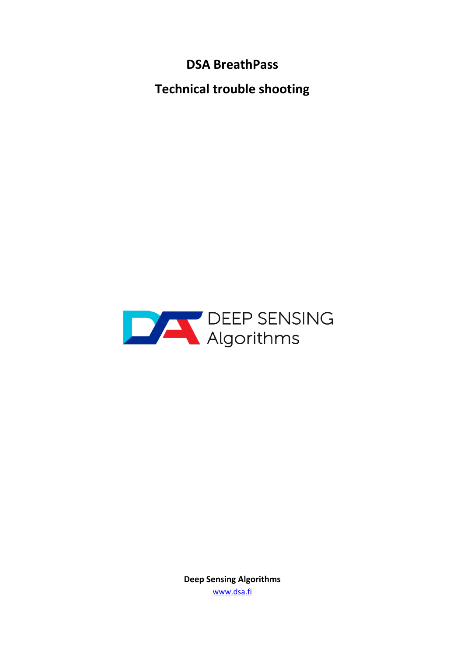**DSA BreathPass**

**Technical trouble shooting**



**Deep Sensing Algorithms** www.dsa.fi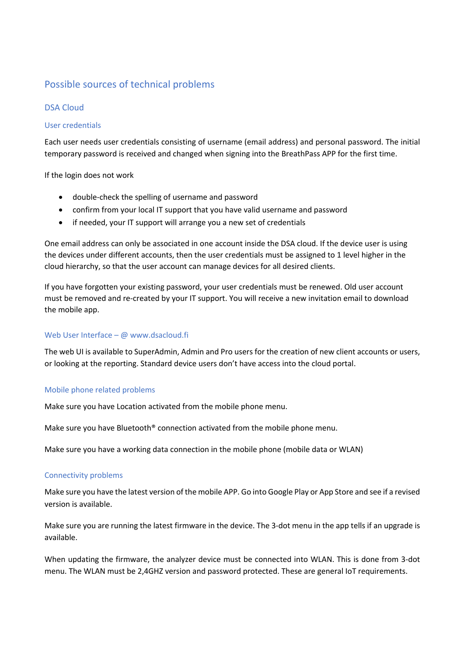# Possible sources of technical problems

# DSA Cloud

## User credentials

Each user needs user credentials consisting of username (email address) and personal password. The initial temporary password is received and changed when signing into the BreathPass APP for the first time.

If the login does not work

- double-check the spelling of username and password
- confirm from your local IT support that you have valid username and password
- if needed, your IT support will arrange you a new set of credentials

One email address can only be associated in one account inside the DSA cloud. If the device user is using the devices under different accounts, then the user credentials must be assigned to 1 level higher in the cloud hierarchy, so that the user account can manage devices for all desired clients.

If you have forgotten your existing password, your user credentials must be renewed. Old user account must be removed and re-created by your IT support. You will receive a new invitation email to download the mobile app.

## Web User Interface – @ www.dsacloud.fi

The web UI is available to SuperAdmin, Admin and Pro users for the creation of new client accounts or users, or looking at the reporting. Standard device users don't have access into the cloud portal.

#### Mobile phone related problems

Make sure you have Location activated from the mobile phone menu.

Make sure you have Bluetooth® connection activated from the mobile phone menu.

Make sure you have a working data connection in the mobile phone (mobile data or WLAN)

#### Connectivity problems

Make sure you have the latest version of the mobile APP. Go into Google Play or App Store and see if a revised version is available.

Make sure you are running the latest firmware in the device. The 3-dot menu in the app tells if an upgrade is available.

When updating the firmware, the analyzer device must be connected into WLAN. This is done from 3-dot menu. The WLAN must be 2,4GHZ version and password protected. These are general IoT requirements.